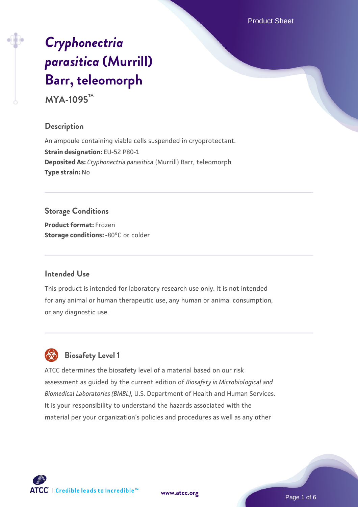Product Sheet

# *[Cryphonectria](https://www.atcc.org/products/mya-1095) [parasitica](https://www.atcc.org/products/mya-1095)* **[\(Murrill\)](https://www.atcc.org/products/mya-1095) [Barr, teleomorph](https://www.atcc.org/products/mya-1095)**

**MYA-1095™**

#### **Description**

An ampoule containing viable cells suspended in cryoprotectant. **Strain designation:** EU-52 P80-1 **Deposited As:** *Cryphonectria parasitica* (Murrill) Barr, teleomorph **Type strain:** No

# **Storage Conditions**

**Product format:** Frozen **Storage conditions: -80°C** or colder

## **Intended Use**

This product is intended for laboratory research use only. It is not intended for any animal or human therapeutic use, any human or animal consumption, or any diagnostic use.



# **Biosafety Level 1**

ATCC determines the biosafety level of a material based on our risk assessment as guided by the current edition of *Biosafety in Microbiological and Biomedical Laboratories (BMBL)*, U.S. Department of Health and Human Services. It is your responsibility to understand the hazards associated with the material per your organization's policies and procedures as well as any other

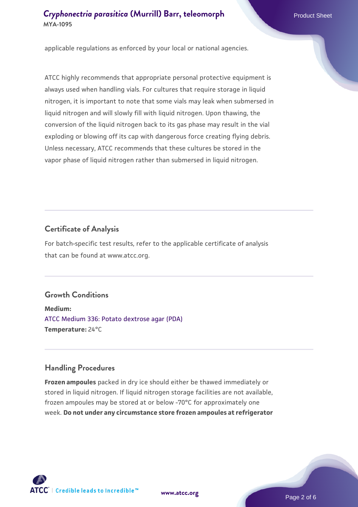applicable regulations as enforced by your local or national agencies.

ATCC highly recommends that appropriate personal protective equipment is always used when handling vials. For cultures that require storage in liquid nitrogen, it is important to note that some vials may leak when submersed in liquid nitrogen and will slowly fill with liquid nitrogen. Upon thawing, the conversion of the liquid nitrogen back to its gas phase may result in the vial exploding or blowing off its cap with dangerous force creating flying debris. Unless necessary, ATCC recommends that these cultures be stored in the vapor phase of liquid nitrogen rather than submersed in liquid nitrogen.

#### **Certificate of Analysis**

For batch-specific test results, refer to the applicable certificate of analysis that can be found at www.atcc.org.

## **Growth Conditions**

**Medium:**  [ATCC Medium 336: Potato dextrose agar \(PDA\)](https://www.atcc.org/-/media/product-assets/documents/microbial-media-formulations/3/3/6/atcc-medium-336.pdf?rev=d9160ad44d934cd8b65175461abbf3b9) **Temperature:** 24°C

#### **Handling Procedures**

**Frozen ampoules** packed in dry ice should either be thawed immediately or stored in liquid nitrogen. If liquid nitrogen storage facilities are not available, frozen ampoules may be stored at or below -70°C for approximately one week. **Do not under any circumstance store frozen ampoules at refrigerator**



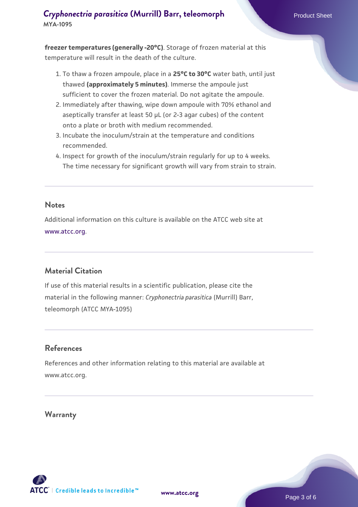**freezer temperatures (generally -20°C)**. Storage of frozen material at this temperature will result in the death of the culture.

- 1. To thaw a frozen ampoule, place in a **25°C to 30°C** water bath, until just thawed **(approximately 5 minutes)**. Immerse the ampoule just sufficient to cover the frozen material. Do not agitate the ampoule.
- 2. Immediately after thawing, wipe down ampoule with 70% ethanol and aseptically transfer at least 50 µL (or 2-3 agar cubes) of the content onto a plate or broth with medium recommended.
- 3. Incubate the inoculum/strain at the temperature and conditions recommended.
- 4. Inspect for growth of the inoculum/strain regularly for up to 4 weeks. The time necessary for significant growth will vary from strain to strain.

#### **Notes**

Additional information on this culture is available on the ATCC web site at [www.atcc.org.](http://www.atcc.org/)

## **Material Citation**

If use of this material results in a scientific publication, please cite the material in the following manner: *Cryphonectria parasitica* (Murrill) Barr, teleomorph (ATCC MYA-1095)

#### **References**

References and other information relating to this material are available at www.atcc.org.

#### **Warranty**



Page 3 of 6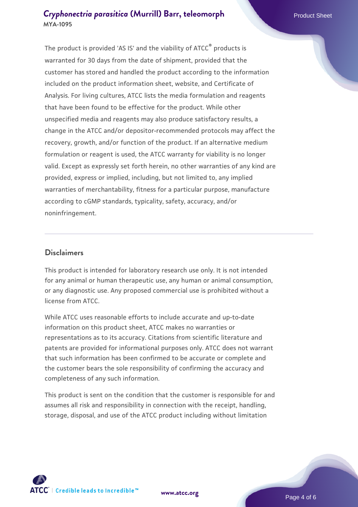The product is provided 'AS IS' and the viability of ATCC® products is warranted for 30 days from the date of shipment, provided that the customer has stored and handled the product according to the information included on the product information sheet, website, and Certificate of Analysis. For living cultures, ATCC lists the media formulation and reagents that have been found to be effective for the product. While other unspecified media and reagents may also produce satisfactory results, a change in the ATCC and/or depositor-recommended protocols may affect the recovery, growth, and/or function of the product. If an alternative medium formulation or reagent is used, the ATCC warranty for viability is no longer valid. Except as expressly set forth herein, no other warranties of any kind are provided, express or implied, including, but not limited to, any implied warranties of merchantability, fitness for a particular purpose, manufacture according to cGMP standards, typicality, safety, accuracy, and/or noninfringement.

#### **Disclaimers**

This product is intended for laboratory research use only. It is not intended for any animal or human therapeutic use, any human or animal consumption, or any diagnostic use. Any proposed commercial use is prohibited without a license from ATCC.

While ATCC uses reasonable efforts to include accurate and up-to-date information on this product sheet, ATCC makes no warranties or representations as to its accuracy. Citations from scientific literature and patents are provided for informational purposes only. ATCC does not warrant that such information has been confirmed to be accurate or complete and the customer bears the sole responsibility of confirming the accuracy and completeness of any such information.

This product is sent on the condition that the customer is responsible for and assumes all risk and responsibility in connection with the receipt, handling, storage, disposal, and use of the ATCC product including without limitation



**[www.atcc.org](http://www.atcc.org)**

Page 4 of 6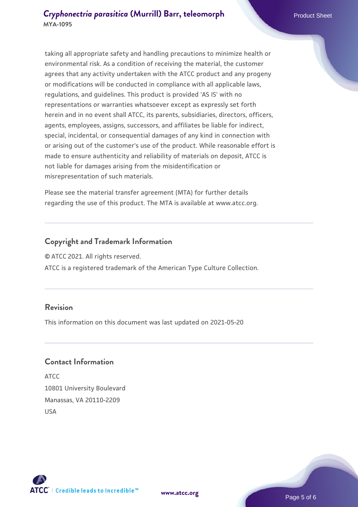taking all appropriate safety and handling precautions to minimize health or environmental risk. As a condition of receiving the material, the customer agrees that any activity undertaken with the ATCC product and any progeny or modifications will be conducted in compliance with all applicable laws, regulations, and guidelines. This product is provided 'AS IS' with no representations or warranties whatsoever except as expressly set forth herein and in no event shall ATCC, its parents, subsidiaries, directors, officers, agents, employees, assigns, successors, and affiliates be liable for indirect, special, incidental, or consequential damages of any kind in connection with or arising out of the customer's use of the product. While reasonable effort is made to ensure authenticity and reliability of materials on deposit, ATCC is not liable for damages arising from the misidentification or misrepresentation of such materials.

Please see the material transfer agreement (MTA) for further details regarding the use of this product. The MTA is available at www.atcc.org.

#### **Copyright and Trademark Information**

© ATCC 2021. All rights reserved.

ATCC is a registered trademark of the American Type Culture Collection.

#### **Revision**

This information on this document was last updated on 2021-05-20

#### **Contact Information**

ATCC 10801 University Boulevard Manassas, VA 20110-2209 USA